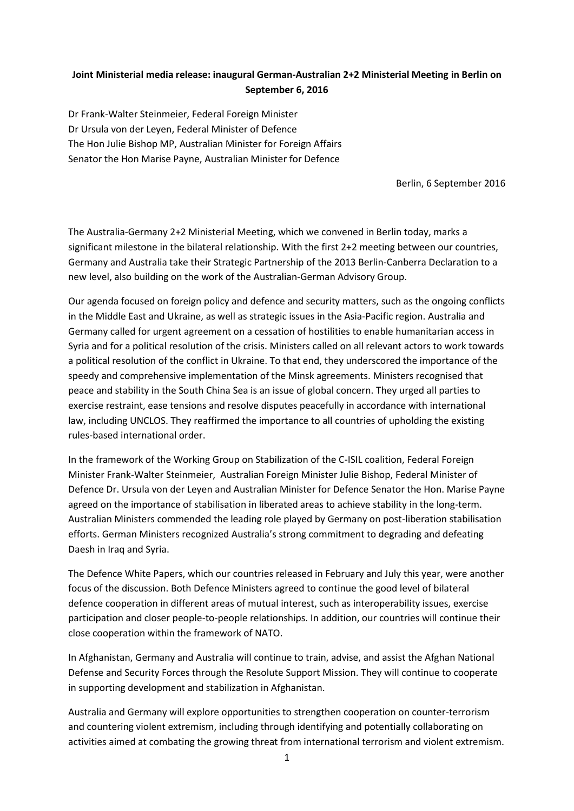## **Joint Ministerial media release: inaugural German-Australian 2+2 Ministerial Meeting in Berlin on September 6, 2016**

Dr Frank-Walter Steinmeier, Federal Foreign Minister Dr Ursula von der Leyen, Federal Minister of Defence The Hon Julie Bishop MP, Australian Minister for Foreign Affairs Senator the Hon Marise Payne, Australian Minister for Defence

Berlin, 6 September 2016

The Australia-Germany 2+2 Ministerial Meeting, which we convened in Berlin today, marks a significant milestone in the bilateral relationship. With the first 2+2 meeting between our countries, Germany and Australia take their Strategic Partnership of the 2013 Berlin-Canberra Declaration to a new level, also building on the work of the Australian-German Advisory Group.

Our agenda focused on foreign policy and defence and security matters, such as the ongoing conflicts in the Middle East and Ukraine, as well as strategic issues in the Asia-Pacific region. Australia and Germany called for urgent agreement on a cessation of hostilities to enable humanitarian access in Syria and for a political resolution of the crisis. Ministers called on all relevant actors to work towards a political resolution of the conflict in Ukraine. To that end, they underscored the importance of the speedy and comprehensive implementation of the Minsk agreements. Ministers recognised that peace and stability in the South China Sea is an issue of global concern. They urged all parties to exercise restraint, ease tensions and resolve disputes peacefully in accordance with international law, including UNCLOS. They reaffirmed the importance to all countries of upholding the existing rules-based international order.

In the framework of the Working Group on Stabilization of the C-ISIL coalition, Federal Foreign Minister Frank-Walter Steinmeier, Australian Foreign Minister Julie Bishop, Federal Minister of Defence Dr. Ursula von der Leyen and Australian Minister for Defence Senator the Hon. Marise Payne agreed on the importance of stabilisation in liberated areas to achieve stability in the long-term. Australian Ministers commended the leading role played by Germany on post-liberation stabilisation efforts. German Ministers recognized Australia's strong commitment to degrading and defeating Daesh in Iraq and Syria.

The Defence White Papers, which our countries released in February and July this year, were another focus of the discussion. Both Defence Ministers agreed to continue the good level of bilateral defence cooperation in different areas of mutual interest, such as interoperability issues, exercise participation and closer people-to-people relationships. In addition, our countries will continue their close cooperation within the framework of NATO.

In Afghanistan, Germany and Australia will continue to train, advise, and assist the Afghan National Defense and Security Forces through the Resolute Support Mission. They will continue to cooperate in supporting development and stabilization in Afghanistan.

Australia and Germany will explore opportunities to strengthen cooperation on counter-terrorism and countering violent extremism, including through identifying and potentially collaborating on activities aimed at combating the growing threat from international terrorism and violent extremism.